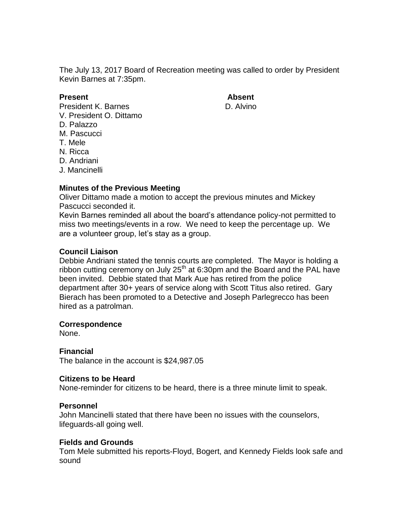The July 13, 2017 Board of Recreation meeting was called to order by President Kevin Barnes at 7:35pm.

**Present Absent** President K. Barnes **D. Alvino** V. President O. Dittamo D. Palazzo M. Pascucci T. Mele N. Ricca D. Andriani

J. Mancinelli

## **Minutes of the Previous Meeting**

Oliver Dittamo made a motion to accept the previous minutes and Mickey Pascucci seconded it.

Kevin Barnes reminded all about the board's attendance policy-not permitted to miss two meetings/events in a row. We need to keep the percentage up. We are a volunteer group, let's stay as a group.

## **Council Liaison**

Debbie Andriani stated the tennis courts are completed. The Mayor is holding a ribbon cutting ceremony on July 25<sup>th</sup> at 6:30pm and the Board and the PAL have been invited. Debbie stated that Mark Aue has retired from the police department after 30+ years of service along with Scott Titus also retired. Gary Bierach has been promoted to a Detective and Joseph Parlegrecco has been hired as a patrolman.

## **Correspondence**

None.

## **Financial**

The balance in the account is \$24,987.05

## **Citizens to be Heard**

None-reminder for citizens to be heard, there is a three minute limit to speak.

## **Personnel**

John Mancinelli stated that there have been no issues with the counselors, lifeguards-all going well.

## **Fields and Grounds**

Tom Mele submitted his reports-Floyd, Bogert, and Kennedy Fields look safe and sound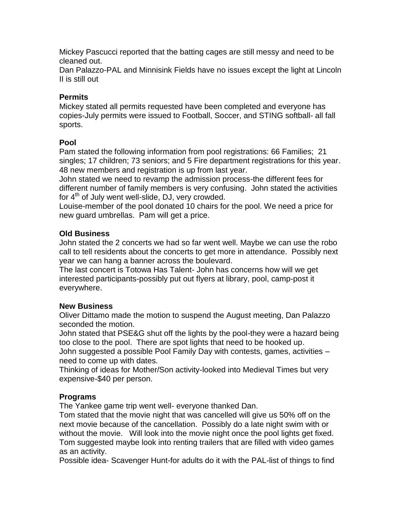Mickey Pascucci reported that the batting cages are still messy and need to be cleaned out.

Dan Palazzo-PAL and Minnisink Fields have no issues except the light at Lincoln II is still out

## **Permits**

Mickey stated all permits requested have been completed and everyone has copies-July permits were issued to Football, Soccer, and STING softball- all fall sports.

## **Pool**

Pam stated the following information from pool registrations: 66 Families; 21 singles; 17 children; 73 seniors; and 5 Fire department registrations for this year. 48 new members and registration is up from last year.

John stated we need to revamp the admission process-the different fees for different number of family members is very confusing. John stated the activities for  $4<sup>th</sup>$  of July went well-slide, DJ, very crowded.

Louise-member of the pool donated 10 chairs for the pool. We need a price for new guard umbrellas. Pam will get a price.

## **Old Business**

John stated the 2 concerts we had so far went well. Maybe we can use the robo call to tell residents about the concerts to get more in attendance. Possibly next year we can hang a banner across the boulevard.

The last concert is Totowa Has Talent- John has concerns how will we get interested participants-possibly put out flyers at library, pool, camp-post it everywhere.

## **New Business**

Oliver Dittamo made the motion to suspend the August meeting, Dan Palazzo seconded the motion.

John stated that PSE&G shut off the lights by the pool-they were a hazard being too close to the pool. There are spot lights that need to be hooked up.

John suggested a possible Pool Family Day with contests, games, activities – need to come up with dates.

Thinking of ideas for Mother/Son activity-looked into Medieval Times but very expensive-\$40 per person.

# **Programs**

The Yankee game trip went well- everyone thanked Dan.

Tom stated that the movie night that was cancelled will give us 50% off on the next movie because of the cancellation. Possibly do a late night swim with or without the movie. Will look into the movie night once the pool lights get fixed. Tom suggested maybe look into renting trailers that are filled with video games as an activity.

Possible idea- Scavenger Hunt-for adults do it with the PAL-list of things to find